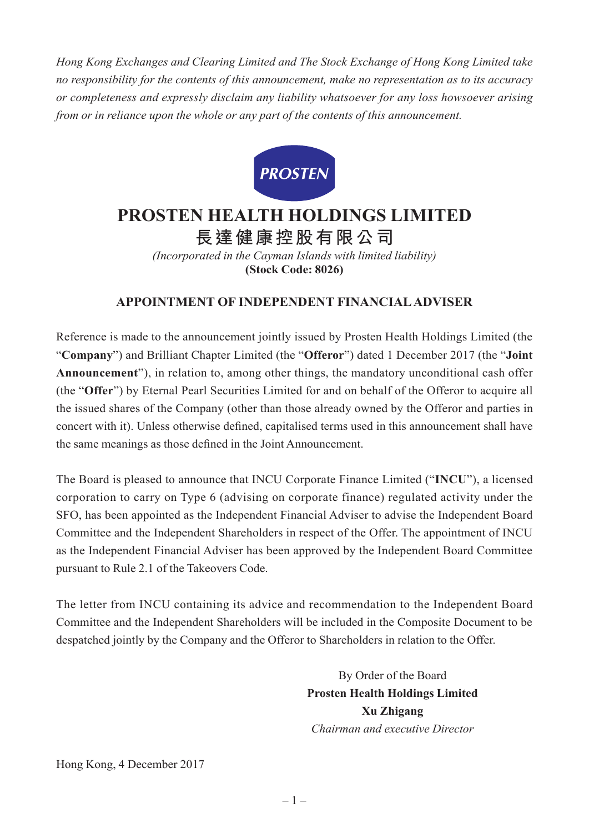*Hong Kong Exchanges and Clearing Limited and The Stock Exchange of Hong Kong Limited take no responsibility for the contents of this announcement, make no representation as to its accuracy or completeness and expressly disclaim any liability whatsoever for any loss howsoever arising from or in reliance upon the whole or any part of the contents of this announcement.*



## **PROSTEN HEALTH HOLDINGS LIMITED 長達健康控股有限公司**

*(Incorporated in the Cayman Islands with limited liability)* **(Stock Code: 8026)**

## **APPOINTMENT OF INDEPENDENT FINANCIAL ADVISER**

Reference is made to the announcement jointly issued by Prosten Health Holdings Limited (the "**Company**") and Brilliant Chapter Limited (the "**Offeror**") dated 1 December 2017 (the "**Joint Announcement**"), in relation to, among other things, the mandatory unconditional cash offer (the "**Offer**") by Eternal Pearl Securities Limited for and on behalf of the Offeror to acquire all the issued shares of the Company (other than those already owned by the Offeror and parties in concert with it). Unless otherwise defined, capitalised terms used in this announcement shall have the same meanings as those defined in the Joint Announcement.

The Board is pleased to announce that INCU Corporate Finance Limited ("**INCU**"), a licensed corporation to carry on Type 6 (advising on corporate finance) regulated activity under the SFO, has been appointed as the Independent Financial Adviser to advise the Independent Board Committee and the Independent Shareholders in respect of the Offer. The appointment of INCU as the Independent Financial Adviser has been approved by the Independent Board Committee pursuant to Rule 2.1 of the Takeovers Code.

The letter from INCU containing its advice and recommendation to the Independent Board Committee and the Independent Shareholders will be included in the Composite Document to be despatched jointly by the Company and the Offeror to Shareholders in relation to the Offer.

> By Order of the Board **Prosten Health Holdings Limited Xu Zhigang** *Chairman and executive Director*

Hong Kong, 4 December 2017